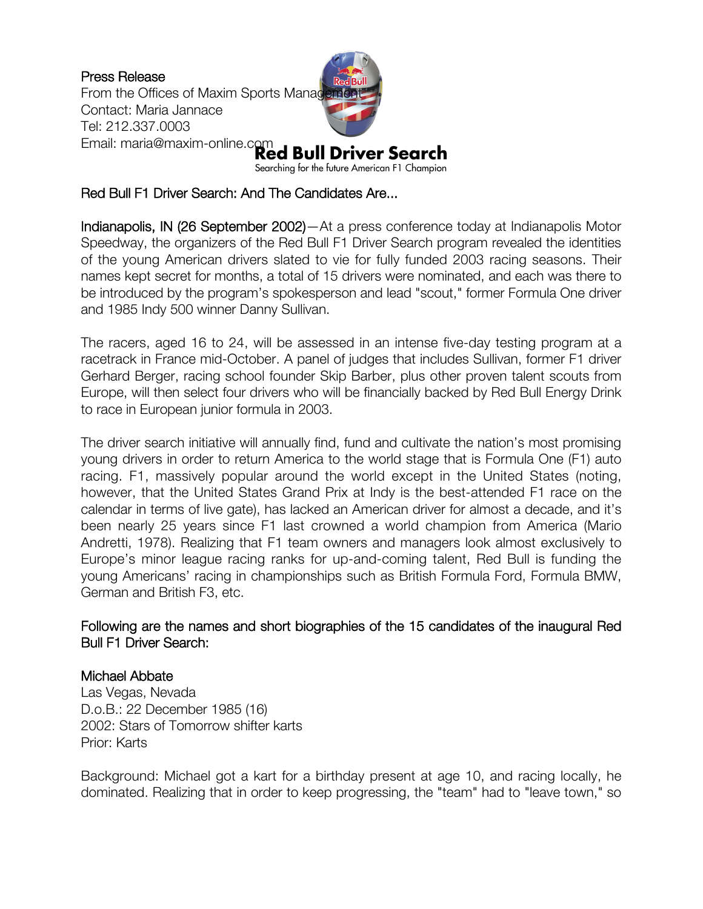Press Release From the Offices of Maxim Sports Management Contact: Maria Jannace Tel: 212.337.0003 Email: maria@maxim-online.com<br>**Red Bull Driver Search** 

Searching for the future American F1 Champion

# Red Bull F1 Driver Search: And The Candidates Are...

Indianapolis, IN (26 September 2002)—At a press conference today at Indianapolis Motor Speedway, the organizers of the Red Bull F1 Driver Search program revealed the identities of the young American drivers slated to vie for fully funded 2003 racing seasons. Their names kept secret for months, a total of 15 drivers were nominated, and each was there to be introduced by the program's spokesperson and lead "scout," former Formula One driver and 1985 Indy 500 winner Danny Sullivan.

The racers, aged 16 to 24, will be assessed in an intense five-day testing program at a racetrack in France mid-October. A panel of judges that includes Sullivan, former F1 driver Gerhard Berger, racing school founder Skip Barber, plus other proven talent scouts from Europe, will then select four drivers who will be financially backed by Red Bull Energy Drink to race in European junior formula in 2003.

The driver search initiative will annually find, fund and cultivate the nation's most promising young drivers in order to return America to the world stage that is Formula One (F1) auto racing. F1, massively popular around the world except in the United States (noting, however, that the United States Grand Prix at Indy is the best-attended F1 race on the calendar in terms of live gate), has lacked an American driver for almost a decade, and it's been nearly 25 years since F1 last crowned a world champion from America (Mario Andretti, 1978). Realizing that F1 team owners and managers look almost exclusively to Europe's minor league racing ranks for up-and-coming talent, Red Bull is funding the young Americans' racing in championships such as British Formula Ford, Formula BMW, German and British F3, etc.

### Following are the names and short biographies of the 15 candidates of the inaugural Red Bull F1 Driver Search:

# Michael Abbate

Las Vegas, Nevada D.o.B.: 22 December 1985 (16) 2002: Stars of Tomorrow shifter karts Prior: Karts

Background: Michael got a kart for a birthday present at age 10, and racing locally, he dominated. Realizing that in order to keep progressing, the "team" had to "leave town," so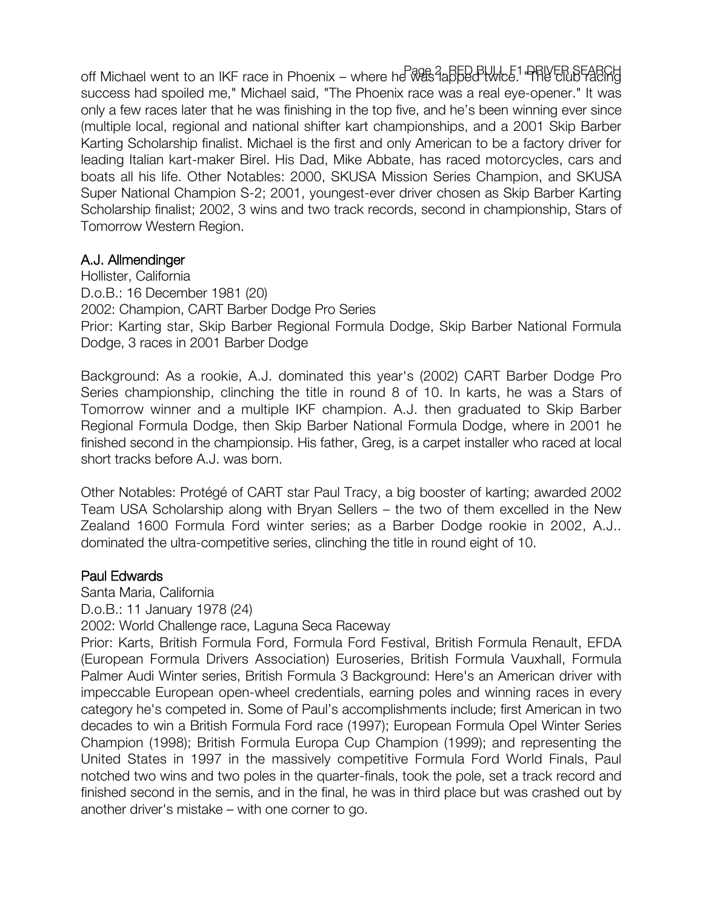off Michael went to an IKF race in Phoenix – where he was labbed twice. "PRIVER SEARCH" success had spoiled me," Michael said, "The Phoenix race was a real eye-opener." It was only a few races later that he was finishing in the top five, and he's been winning ever since (multiple local, regional and national shifter kart championships, and a 2001 Skip Barber Karting Scholarship finalist. Michael is the first and only American to be a factory driver for leading Italian kart-maker Birel. His Dad, Mike Abbate, has raced motorcycles, cars and boats all his life. Other Notables: 2000, SKUSA Mission Series Champion, and SKUSA Super National Champion S-2; 2001, youngest-ever driver chosen as Skip Barber Karting Scholarship finalist; 2002, 3 wins and two track records, second in championship, Stars of Tomorrow Western Region.

# A.J. Allmendinger

Hollister, California D.o.B.: 16 December 1981 (20) 2002: Champion, CART Barber Dodge Pro Series Prior: Karting star, Skip Barber Regional Formula Dodge, Skip Barber National Formula Dodge, 3 races in 2001 Barber Dodge

Background: As a rookie, A.J. dominated this year's (2002) CART Barber Dodge Pro Series championship, clinching the title in round 8 of 10. In karts, he was a Stars of Tomorrow winner and a multiple IKF champion. A.J. then graduated to Skip Barber Regional Formula Dodge, then Skip Barber National Formula Dodge, where in 2001 he finished second in the championsip. His father, Greg, is a carpet installer who raced at local short tracks before A.J. was born.

Other Notables: Protégé of CART star Paul Tracy, a big booster of karting; awarded 2002 Team USA Scholarship along with Bryan Sellers – the two of them excelled in the New Zealand 1600 Formula Ford winter series; as a Barber Dodge rookie in 2002, A.J.. dominated the ultra-competitive series, clinching the title in round eight of 10.

# Paul Edwards

Santa Maria, California

D.o.B.: 11 January 1978 (24)

2002: World Challenge race, Laguna Seca Raceway

Prior: Karts, British Formula Ford, Formula Ford Festival, British Formula Renault, EFDA (European Formula Drivers Association) Euroseries, British Formula Vauxhall, Formula Palmer Audi Winter series, British Formula 3 Background: Here's an American driver with impeccable European open-wheel credentials, earning poles and winning races in every category he's competed in. Some of Paul's accomplishments include; first American in two decades to win a British Formula Ford race (1997); European Formula Opel Winter Series Champion (1998); British Formula Europa Cup Champion (1999); and representing the United States in 1997 in the massively competitive Formula Ford World Finals, Paul notched two wins and two poles in the quarter-finals, took the pole, set a track record and finished second in the semis, and in the final, he was in third place but was crashed out by another driver's mistake – with one corner to go.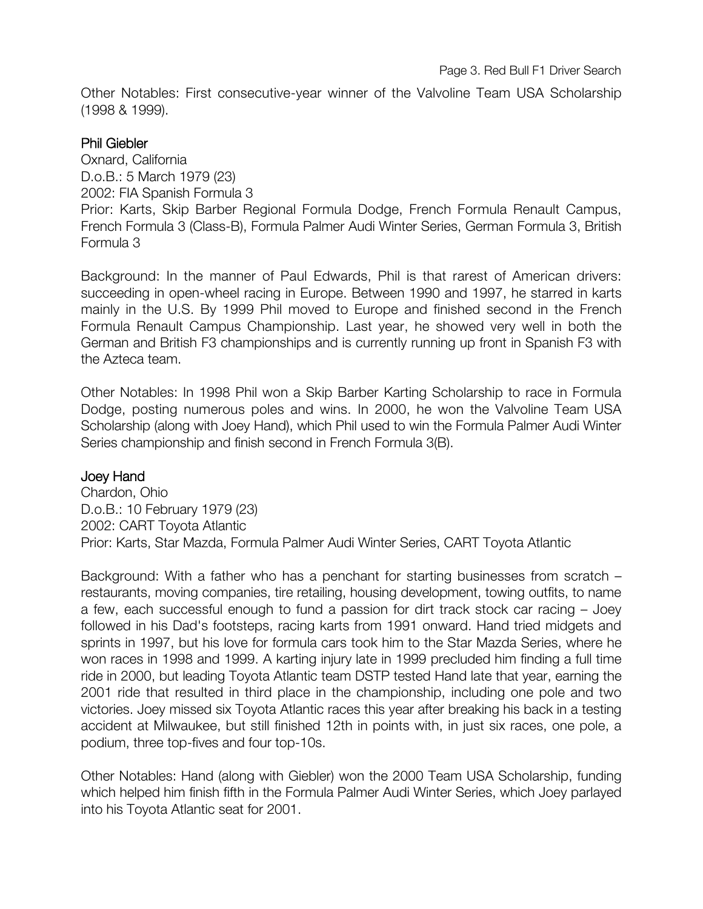Other Notables: First consecutive-year winner of the Valvoline Team USA Scholarship (1998 & 1999).

### Phil Giebler

Oxnard, California D.o.B.: 5 March 1979 (23) 2002: FIA Spanish Formula 3 Prior: Karts, Skip Barber Regional Formula Dodge, French Formula Renault Campus, French Formula 3 (Class-B), Formula Palmer Audi Winter Series, German Formula 3, British Formula 3

Background: In the manner of Paul Edwards, Phil is that rarest of American drivers: succeeding in open-wheel racing in Europe. Between 1990 and 1997, he starred in karts mainly in the U.S. By 1999 Phil moved to Europe and finished second in the French Formula Renault Campus Championship. Last year, he showed very well in both the German and British F3 championships and is currently running up front in Spanish F3 with the Azteca team.

Other Notables: In 1998 Phil won a Skip Barber Karting Scholarship to race in Formula Dodge, posting numerous poles and wins. In 2000, he won the Valvoline Team USA Scholarship (along with Joey Hand), which Phil used to win the Formula Palmer Audi Winter Series championship and finish second in French Formula 3(B).

### Joey Hand

Chardon, Ohio D.o.B.: 10 February 1979 (23) 2002: CART Toyota Atlantic Prior: Karts, Star Mazda, Formula Palmer Audi Winter Series, CART Toyota Atlantic

Background: With a father who has a penchant for starting businesses from scratch – restaurants, moving companies, tire retailing, housing development, towing outfits, to name a few, each successful enough to fund a passion for dirt track stock car racing – Joey followed in his Dad's footsteps, racing karts from 1991 onward. Hand tried midgets and sprints in 1997, but his love for formula cars took him to the Star Mazda Series, where he won races in 1998 and 1999. A karting injury late in 1999 precluded him finding a full time ride in 2000, but leading Toyota Atlantic team DSTP tested Hand late that year, earning the 2001 ride that resulted in third place in the championship, including one pole and two victories. Joey missed six Toyota Atlantic races this year after breaking his back in a testing accident at Milwaukee, but still finished 12th in points with, in just six races, one pole, a podium, three top-fives and four top-10s.

Other Notables: Hand (along with Giebler) won the 2000 Team USA Scholarship, funding which helped him finish fifth in the Formula Palmer Audi Winter Series, which Joey parlayed into his Toyota Atlantic seat for 2001.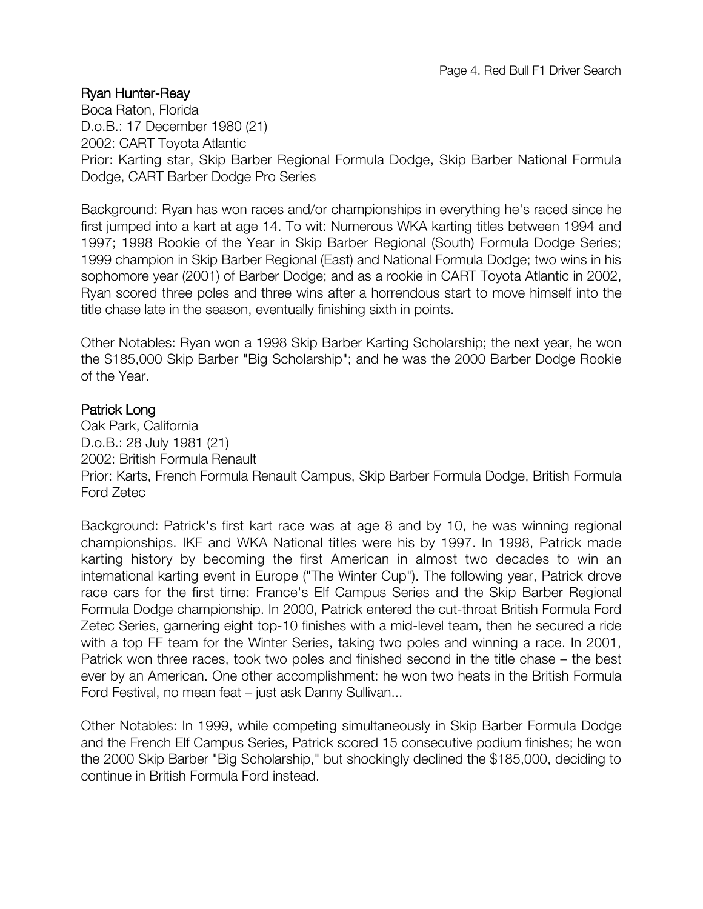### Ryan Hunter-Reay

Boca Raton, Florida D.o.B.: 17 December 1980 (21) 2002: CART Toyota Atlantic Prior: Karting star, Skip Barber Regional Formula Dodge, Skip Barber National Formula Dodge, CART Barber Dodge Pro Series

Background: Ryan has won races and/or championships in everything he's raced since he first jumped into a kart at age 14. To wit: Numerous WKA karting titles between 1994 and 1997; 1998 Rookie of the Year in Skip Barber Regional (South) Formula Dodge Series; 1999 champion in Skip Barber Regional (East) and National Formula Dodge; two wins in his sophomore year (2001) of Barber Dodge; and as a rookie in CART Toyota Atlantic in 2002, Ryan scored three poles and three wins after a horrendous start to move himself into the title chase late in the season, eventually finishing sixth in points.

Other Notables: Ryan won a 1998 Skip Barber Karting Scholarship; the next year, he won the \$185,000 Skip Barber "Big Scholarship"; and he was the 2000 Barber Dodge Rookie of the Year.

### Patrick Long

Oak Park, California D.o.B.: 28 July 1981 (21) 2002: British Formula Renault Prior: Karts, French Formula Renault Campus, Skip Barber Formula Dodge, British Formula Ford Zetec

Background: Patrick's first kart race was at age 8 and by 10, he was winning regional championships. IKF and WKA National titles were his by 1997. In 1998, Patrick made karting history by becoming the first American in almost two decades to win an international karting event in Europe ("The Winter Cup"). The following year, Patrick drove race cars for the first time: France's Elf Campus Series and the Skip Barber Regional Formula Dodge championship. In 2000, Patrick entered the cut-throat British Formula Ford Zetec Series, garnering eight top-10 finishes with a mid-level team, then he secured a ride with a top FF team for the Winter Series, taking two poles and winning a race. In 2001, Patrick won three races, took two poles and finished second in the title chase – the best ever by an American. One other accomplishment: he won two heats in the British Formula Ford Festival, no mean feat – just ask Danny Sullivan...

Other Notables: In 1999, while competing simultaneously in Skip Barber Formula Dodge and the French Elf Campus Series, Patrick scored 15 consecutive podium finishes; he won the 2000 Skip Barber "Big Scholarship," but shockingly declined the \$185,000, deciding to continue in British Formula Ford instead.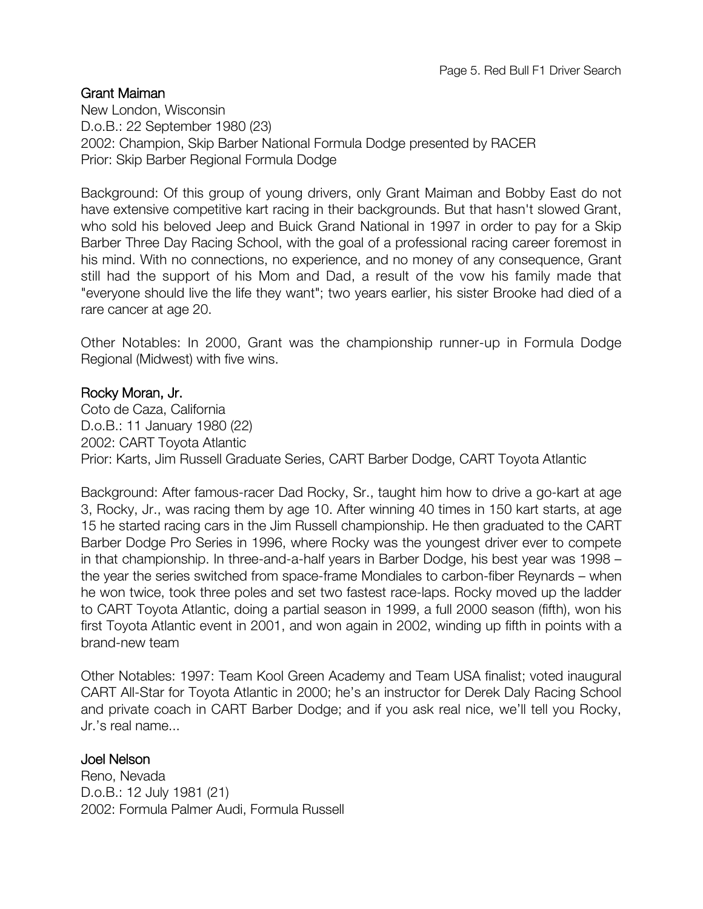### Grant Maiman

New London, Wisconsin D.o.B.: 22 September 1980 (23) 2002: Champion, Skip Barber National Formula Dodge presented by RACER Prior: Skip Barber Regional Formula Dodge

Background: Of this group of young drivers, only Grant Maiman and Bobby East do not have extensive competitive kart racing in their backgrounds. But that hasn't slowed Grant, who sold his beloved Jeep and Buick Grand National in 1997 in order to pay for a Skip Barber Three Day Racing School, with the goal of a professional racing career foremost in his mind. With no connections, no experience, and no money of any consequence, Grant still had the support of his Mom and Dad, a result of the vow his family made that "everyone should live the life they want"; two years earlier, his sister Brooke had died of a rare cancer at age 20.

Other Notables: In 2000, Grant was the championship runner-up in Formula Dodge Regional (Midwest) with five wins.

### Rocky Moran, Jr.

Coto de Caza, California D.o.B.: 11 January 1980 (22) 2002: CART Toyota Atlantic Prior: Karts, Jim Russell Graduate Series, CART Barber Dodge, CART Toyota Atlantic

Background: After famous-racer Dad Rocky, Sr., taught him how to drive a go-kart at age 3, Rocky, Jr., was racing them by age 10. After winning 40 times in 150 kart starts, at age 15 he started racing cars in the Jim Russell championship. He then graduated to the CART Barber Dodge Pro Series in 1996, where Rocky was the youngest driver ever to compete in that championship. In three-and-a-half years in Barber Dodge, his best year was 1998 – the year the series switched from space-frame Mondiales to carbon-fiber Reynards – when he won twice, took three poles and set two fastest race-laps. Rocky moved up the ladder to CART Toyota Atlantic, doing a partial season in 1999, a full 2000 season (fifth), won his first Toyota Atlantic event in 2001, and won again in 2002, winding up fifth in points with a brand-new team

Other Notables: 1997: Team Kool Green Academy and Team USA finalist; voted inaugural CART All-Star for Toyota Atlantic in 2000; he's an instructor for Derek Daly Racing School and private coach in CART Barber Dodge; and if you ask real nice, we'll tell you Rocky, Jr.'s real name...

### Joel Nelson

Reno, Nevada D.o.B.: 12 July 1981 (21) 2002: Formula Palmer Audi, Formula Russell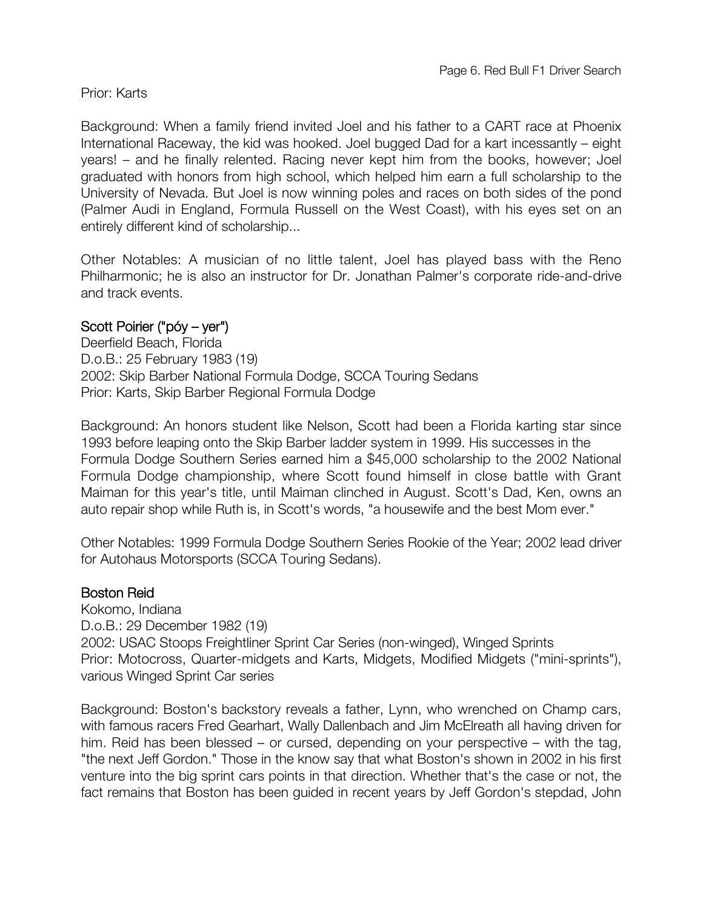### Prior: Karts

Background: When a family friend invited Joel and his father to a CART race at Phoenix International Raceway, the kid was hooked. Joel bugged Dad for a kart incessantly – eight years! – and he finally relented. Racing never kept him from the books, however; Joel graduated with honors from high school, which helped him earn a full scholarship to the University of Nevada. But Joel is now winning poles and races on both sides of the pond (Palmer Audi in England, Formula Russell on the West Coast), with his eyes set on an entirely different kind of scholarship...

Other Notables: A musician of no little talent, Joel has played bass with the Reno Philharmonic; he is also an instructor for Dr. Jonathan Palmer's corporate ride-and-drive and track events.

# Scott Poirier ("póy – yer")

Deerfield Beach, Florida D.o.B.: 25 February 1983 (19) 2002: Skip Barber National Formula Dodge, SCCA Touring Sedans Prior: Karts, Skip Barber Regional Formula Dodge

Background: An honors student like Nelson, Scott had been a Florida karting star since 1993 before leaping onto the Skip Barber ladder system in 1999. His successes in the Formula Dodge Southern Series earned him a \$45,000 scholarship to the 2002 National Formula Dodge championship, where Scott found himself in close battle with Grant Maiman for this year's title, until Maiman clinched in August. Scott's Dad, Ken, owns an auto repair shop while Ruth is, in Scott's words, "a housewife and the best Mom ever."

Other Notables: 1999 Formula Dodge Southern Series Rookie of the Year; 2002 lead driver for Autohaus Motorsports (SCCA Touring Sedans).

### Boston Reid

Kokomo, Indiana D.o.B.: 29 December 1982 (19) 2002: USAC Stoops Freightliner Sprint Car Series (non-winged), Winged Sprints Prior: Motocross, Quarter-midgets and Karts, Midgets, Modified Midgets ("mini-sprints"), various Winged Sprint Car series

Background: Boston's backstory reveals a father, Lynn, who wrenched on Champ cars, with famous racers Fred Gearhart, Wally Dallenbach and Jim McElreath all having driven for him. Reid has been blessed – or cursed, depending on your perspective – with the tag, "the next Jeff Gordon." Those in the know say that what Boston's shown in 2002 in his first venture into the big sprint cars points in that direction. Whether that's the case or not, the fact remains that Boston has been guided in recent years by Jeff Gordon's stepdad, John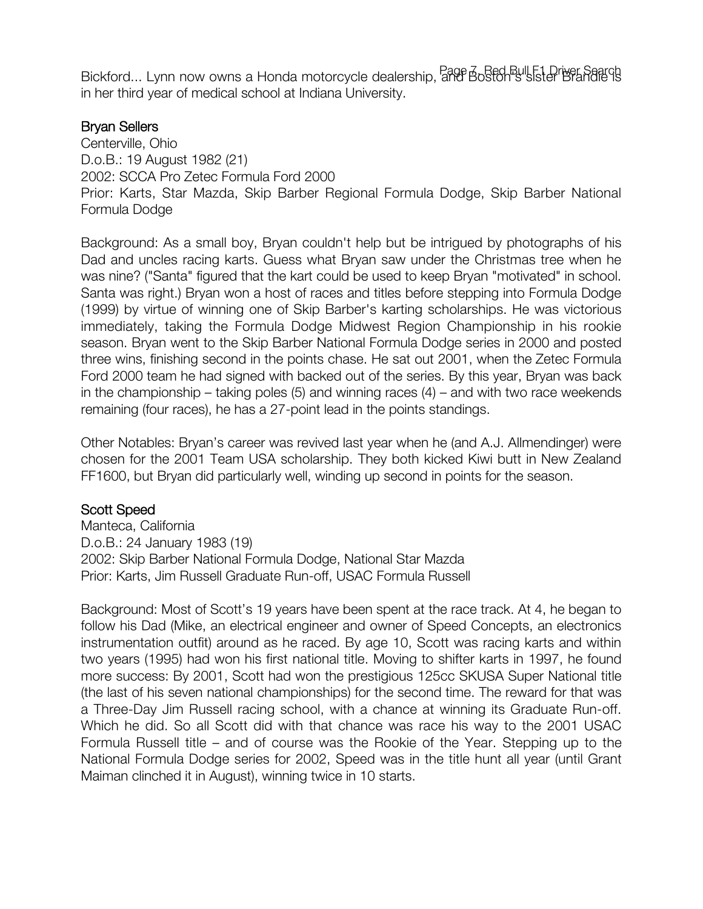Bickford... Lynn now owns a Honda motorcycle dealership, and Boston's sister Brandie is in her third year of medical school at Indiana University.

# Bryan Sellers

Centerville, Ohio D.o.B.: 19 August 1982 (21) 2002: SCCA Pro Zetec Formula Ford 2000 Prior: Karts, Star Mazda, Skip Barber Regional Formula Dodge, Skip Barber National Formula Dodge

Background: As a small boy, Bryan couldn't help but be intrigued by photographs of his Dad and uncles racing karts. Guess what Bryan saw under the Christmas tree when he was nine? ("Santa" figured that the kart could be used to keep Bryan "motivated" in school. Santa was right.) Bryan won a host of races and titles before stepping into Formula Dodge (1999) by virtue of winning one of Skip Barber's karting scholarships. He was victorious immediately, taking the Formula Dodge Midwest Region Championship in his rookie season. Bryan went to the Skip Barber National Formula Dodge series in 2000 and posted three wins, finishing second in the points chase. He sat out 2001, when the Zetec Formula Ford 2000 team he had signed with backed out of the series. By this year, Bryan was back in the championship – taking poles  $(5)$  and winning races  $(4)$  – and with two race weekends remaining (four races), he has a 27-point lead in the points standings.

Other Notables: Bryan's career was revived last year when he (and A.J. Allmendinger) were chosen for the 2001 Team USA scholarship. They both kicked Kiwi butt in New Zealand FF1600, but Bryan did particularly well, winding up second in points for the season.

### Scott Speed

Manteca, California D.o.B.: 24 January 1983 (19) 2002: Skip Barber National Formula Dodge, National Star Mazda Prior: Karts, Jim Russell Graduate Run-off, USAC Formula Russell

Background: Most of Scott's 19 years have been spent at the race track. At 4, he began to follow his Dad (Mike, an electrical engineer and owner of Speed Concepts, an electronics instrumentation outfit) around as he raced. By age 10, Scott was racing karts and within two years (1995) had won his first national title. Moving to shifter karts in 1997, he found more success: By 2001, Scott had won the prestigious 125cc SKUSA Super National title (the last of his seven national championships) for the second time. The reward for that was a Three-Day Jim Russell racing school, with a chance at winning its Graduate Run-off. Which he did. So all Scott did with that chance was race his way to the 2001 USAC Formula Russell title – and of course was the Rookie of the Year. Stepping up to the National Formula Dodge series for 2002, Speed was in the title hunt all year (until Grant Maiman clinched it in August), winning twice in 10 starts.